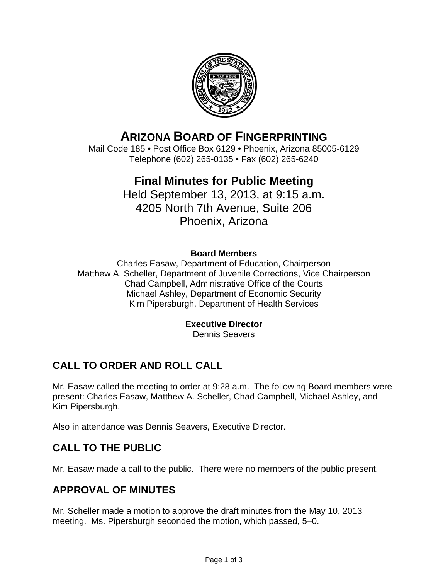

# **ARIZONA BOARD OF FINGERPRINTING**

Mail Code 185 • Post Office Box 6129 • Phoenix, Arizona 85005-6129 Telephone (602) 265-0135 • Fax (602) 265-6240

# **Final Minutes for Public Meeting**

Held September 13, 2013, at 9:15 a.m. 4205 North 7th Avenue, Suite 206 Phoenix, Arizona

## **Board Members**

Charles Easaw, Department of Education, Chairperson Matthew A. Scheller, Department of Juvenile Corrections, Vice Chairperson Chad Campbell, Administrative Office of the Courts Michael Ashley, Department of Economic Security Kim Pipersburgh, Department of Health Services

## **Executive Director**

Dennis Seavers

# **CALL TO ORDER AND ROLL CALL**

Mr. Easaw called the meeting to order at 9:28 a.m. The following Board members were present: Charles Easaw, Matthew A. Scheller, Chad Campbell, Michael Ashley, and Kim Pipersburgh.

Also in attendance was Dennis Seavers, Executive Director.

# **CALL TO THE PUBLIC**

Mr. Easaw made a call to the public. There were no members of the public present.

# **APPROVAL OF MINUTES**

Mr. Scheller made a motion to approve the draft minutes from the May 10, 2013 meeting. Ms. Pipersburgh seconded the motion, which passed, 5–0.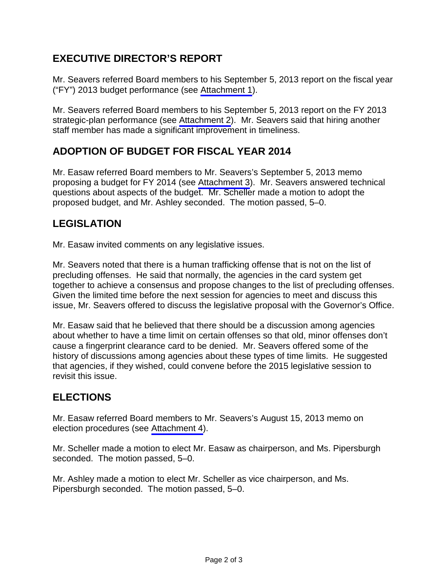# **EXECUTIVE DIRECTOR'S REPORT**

Mr. Seavers referred Board members to his September 5, 2013 report on the fiscal year ("FY") 2013 budget performance (see [Attachment 1\)](#page-3-0).

Mr. Seavers referred Board members to his September 5, 2013 report on the FY 2013 strategic-plan performance (see [Attachment 2\)](#page-7-0). Mr. Seavers said that hiring another staff member has made a significant improvement in timeliness.

# **ADOPTION OF BUDGET FOR FISCAL YEAR 2014**

Mr. Easaw referred Board members to Mr. Seavers's September 5, 2013 memo proposing a budget for FY 2014 (see [Attachment 3\)](#page-13-0). Mr. Seavers answered technical questions about aspects of the budget. Mr. Scheller made a motion to adopt the proposed budget, and Mr. Ashley seconded. The motion passed, 5–0.

# **LEGISLATION**

Mr. Easaw invited comments on any legislative issues.

Mr. Seavers noted that there is a human trafficking offense that is not on the list of precluding offenses. He said that normally, the agencies in the card system get together to achieve a consensus and propose changes to the list of precluding offenses. Given the limited time before the next session for agencies to meet and discuss this issue, Mr. Seavers offered to discuss the legislative proposal with the Governor's Office.

Mr. Easaw said that he believed that there should be a discussion among agencies about whether to have a time limit on certain offenses so that old, minor offenses don't cause a fingerprint clearance card to be denied. Mr. Seavers offered some of the history of discussions among agencies about these types of time limits. He suggested that agencies, if they wished, could convene before the 2015 legislative session to revisit this issue.

# **ELECTIONS**

Mr. Easaw referred Board members to Mr. Seavers's August 15, 2013 memo on election procedures (see [Attachment 4\)](#page-16-0).

Mr. Scheller made a motion to elect Mr. Easaw as chairperson, and Ms. Pipersburgh seconded. The motion passed, 5–0.

Mr. Ashley made a motion to elect Mr. Scheller as vice chairperson, and Ms. Pipersburgh seconded. The motion passed, 5–0.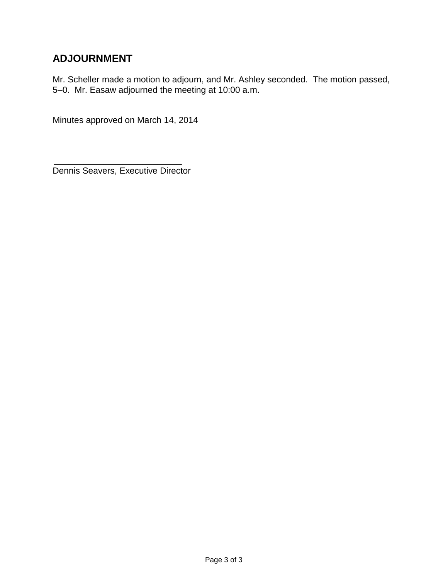# **ADJOURNMENT**

Mr. Scheller made a motion to adjourn, and Mr. Ashley seconded. The motion passed, 5–0. Mr. Easaw adjourned the meeting at 10:00 a.m.

Minutes approved on March 14, 2014

\_\_\_\_\_\_\_\_\_\_\_\_\_\_\_\_\_\_\_\_\_\_\_\_\_\_ Dennis Seavers, Executive Director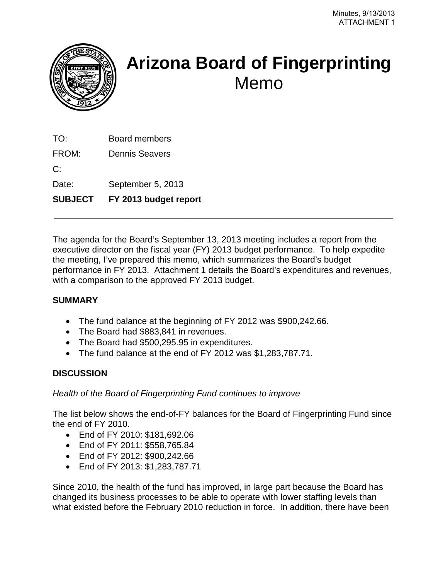<span id="page-3-0"></span>

# **Arizona Board of Fingerprinting** Memo

TO: Board members

FROM: Dennis Seavers

 $C^{\cdot}$ 

Date: September 5, 2013

**SUBJECT FY 2013 budget report**

The agenda for the Board's September 13, 2013 meeting includes a report from the executive director on the fiscal year (FY) 2013 budget performance. To help expedite the meeting, I've prepared this memo, which summarizes the Board's budget performance in FY 2013. Attachment 1 details the Board's expenditures and revenues, with a comparison to the approved FY 2013 budget.

\_\_\_\_\_\_\_\_\_\_\_\_\_\_\_\_\_\_\_\_\_\_\_\_\_\_\_\_\_\_\_\_\_\_\_\_\_\_\_\_\_\_\_\_\_\_\_\_\_\_\_\_\_\_\_\_\_\_\_\_\_\_\_\_\_\_\_\_\_

## **SUMMARY**

- The fund balance at the beginning of FY 2012 was \$900,242.66.
- The Board had \$883,841 in revenues.
- The Board had \$500,295.95 in expenditures.
- The fund balance at the end of FY 2012 was \$1,283,787.71.

## **DISCUSSION**

## *Health of the Board of Fingerprinting Fund continues to improve*

The list below shows the end-of-FY balances for the Board of Fingerprinting Fund since the end of FY 2010.

- End of FY 2010: \$181,692.06
- End of FY 2011: \$558,765.84
- End of FY 2012: \$900,242.66
- End of FY 2013: \$1,283,787.71

Since 2010, the health of the fund has improved, in large part because the Board has changed its business processes to be able to operate with lower staffing levels than what existed before the February 2010 reduction in force. In addition, there have been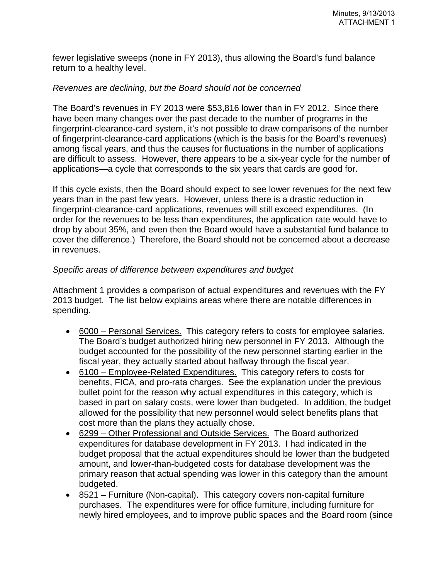fewer legislative sweeps (none in FY 2013), thus allowing the Board's fund balance return to a healthy level.

#### *Revenues are declining, but the Board should not be concerned*

The Board's revenues in FY 2013 were \$53,816 lower than in FY 2012. Since there have been many changes over the past decade to the number of programs in the fingerprint-clearance-card system, it's not possible to draw comparisons of the number of fingerprint-clearance-card applications (which is the basis for the Board's revenues) among fiscal years, and thus the causes for fluctuations in the number of applications are difficult to assess. However, there appears to be a six-year cycle for the number of applications—a cycle that corresponds to the six years that cards are good for.

If this cycle exists, then the Board should expect to see lower revenues for the next few years than in the past few years. However, unless there is a drastic reduction in fingerprint-clearance-card applications, revenues will still exceed expenditures. (In order for the revenues to be less than expenditures, the application rate would have to drop by about 35%, and even then the Board would have a substantial fund balance to cover the difference.) Therefore, the Board should not be concerned about a decrease in revenues.

#### *Specific areas of difference between expenditures and budget*

Attachment 1 provides a comparison of actual expenditures and revenues with the FY 2013 budget. The list below explains areas where there are notable differences in spending.

- 6000 Personal Services. This category refers to costs for employee salaries. The Board's budget authorized hiring new personnel in FY 2013. Although the budget accounted for the possibility of the new personnel starting earlier in the fiscal year, they actually started about halfway through the fiscal year.
- 6100 Employee-Related Expenditures. This category refers to costs for benefits, FICA, and pro-rata charges. See the explanation under the previous bullet point for the reason why actual expenditures in this category, which is based in part on salary costs, were lower than budgeted. In addition, the budget allowed for the possibility that new personnel would select benefits plans that cost more than the plans they actually chose.
- 6299 Other Professional and Outside Services. The Board authorized expenditures for database development in FY 2013. I had indicated in the budget proposal that the actual expenditures should be lower than the budgeted amount, and lower-than-budgeted costs for database development was the primary reason that actual spending was lower in this category than the amount budgeted.
- 8521 Furniture (Non-capital). This category covers non-capital furniture purchases. The expenditures were for office furniture, including furniture for newly hired employees, and to improve public spaces and the Board room (since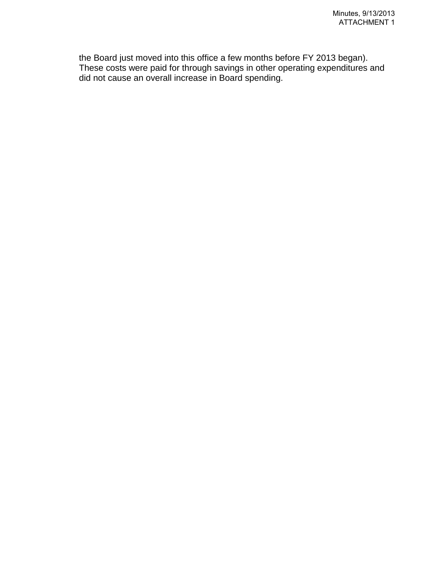the Board just moved into this office a few months before FY 2013 began). These costs were paid for through savings in other operating expenditures and did not cause an overall increase in Board spending.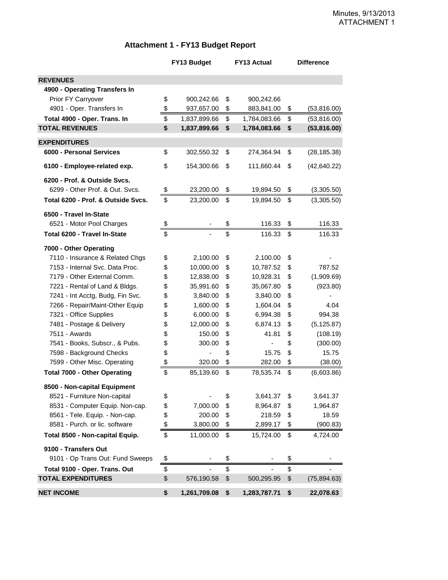#### **Attachment 1 - FY13 Budget Report**

|                                     | FY13 Budget                    | <b>FY13 Actual</b> | <b>Difference</b>  |
|-------------------------------------|--------------------------------|--------------------|--------------------|
| <b>REVENUES</b>                     |                                |                    |                    |
| 4900 - Operating Transfers In       |                                |                    |                    |
| Prior FY Carryover                  | \$<br>900,242.66               | \$<br>900,242.66   |                    |
| 4901 - Oper. Transfers In           | \$<br>937,657.00               | \$<br>883,841.00   | \$<br>(53, 816.00) |
| Total 4900 - Oper. Trans. In        | \$<br>1,837,899.66             | \$<br>1,784,083.66 | \$<br>(53, 816.00) |
| <b>TOTAL REVENUES</b>               | \$<br>1,837,899.66             | \$<br>1,784,083.66 | \$<br>(53, 816.00) |
| <b>EXPENDITURES</b>                 |                                |                    |                    |
| 6000 - Personal Services            | \$<br>302,550.32               | \$<br>274,364.94   | \$<br>(28, 185.38) |
| 6100 - Employee-related exp.        | \$<br>154,300.66               | \$<br>111,660.44   | \$<br>(42, 640.22) |
| 6200 - Prof. & Outside Svcs.        |                                |                    |                    |
| 6299 - Other Prof. & Out. Svcs.     | \$<br>23,200.00                | \$<br>19,894.50    | \$<br>(3,305.50)   |
| Total 6200 - Prof. & Outside Svcs.  | \$<br>23,200.00                | \$<br>19,894.50    | \$<br>(3,305.50)   |
| 6500 - Travel In-State              |                                |                    |                    |
| 6521 - Motor Pool Charges           | \$                             | \$<br>116.33       | \$<br>116.33       |
| Total 6200 - Travel In-State        | \$                             | \$<br>116.33       | \$<br>116.33       |
| 7000 - Other Operating              |                                |                    |                    |
| 7110 - Insurance & Related Chgs     | \$<br>2,100.00                 | \$<br>2,100.00     | \$                 |
| 7153 - Internal Svc. Data Proc.     | \$<br>10,000.00                | \$<br>10,787.52    | \$<br>787.52       |
| 7179 - Other External Comm.         | \$<br>12,838.00                | \$<br>10,928.31    | \$<br>(1,909.69)   |
| 7221 - Rental of Land & Bldgs.      | \$<br>35,991.60                | \$<br>35,067.80    | \$<br>(923.80)     |
| 7241 - Int Acctg, Budg, Fin Svc.    | \$<br>3,840.00                 | \$<br>3,840.00     | \$                 |
| 7266 - Repair/Maint-Other Equip     | \$<br>1,600.00                 | \$<br>1,604.04     | \$<br>4.04         |
| 7321 - Office Supplies              | \$<br>6,000.00                 | \$<br>6,994.38     | \$<br>994.38       |
| 7481 - Postage & Delivery           | \$<br>12,000.00                | \$<br>6,874.13     | \$<br>(5, 125.87)  |
| 7511 - Awards                       | \$<br>150.00                   | \$<br>41.81        | \$<br>(108.19)     |
| 7541 - Books, Subscr., & Pubs.      | \$<br>300.00                   | \$                 | \$<br>(300.00)     |
| 7598 - Background Checks            | \$                             | \$<br>15.75        | \$<br>15.75        |
| 7599 - Other Misc. Operating        | \$<br>320.00                   | \$<br>282.00       | \$<br>(38.00)      |
| <b>Total 7000 - Other Operating</b> | \$<br>85,139.60                | \$<br>78,535.74    | \$<br>(6,603.86)   |
| 8500 - Non-capital Equipment        |                                |                    |                    |
| 8521 - Furniture Non-capital        | \$<br>$\overline{\phantom{0}}$ | \$<br>3,641.37     | \$<br>3,641.37     |
| 8531 - Computer Equip. Non-cap.     | \$<br>7,000.00                 | \$<br>8,964.87     | \$<br>1,964.87     |
| 8561 - Tele. Equip. - Non-cap.      | \$<br>200.00                   | \$<br>218.59       | \$<br>18.59        |
| 8581 - Purch. or lic. software      | \$<br>3,800.00                 | \$<br>2,899.17     | \$<br>(900.83)     |
| Total 8500 - Non-capital Equip.     | \$<br>11,000.00                | \$<br>15,724.00    | \$<br>4,724.00     |
| 9100 - Transfers Out                |                                |                    |                    |
| 9101 - Op Trans Out: Fund Sweeps    | \$                             | \$                 | \$                 |
| Total 9100 - Oper. Trans. Out       | \$                             | \$                 | \$                 |
| <b>TOTAL EXPENDITURES</b>           | \$<br>576,190.58               | \$<br>500,295.95   | \$<br>(75, 894.63) |
| <b>NET INCOME</b>                   | \$<br>1,261,709.08             | \$<br>1,283,787.71 | \$<br>22,078.63    |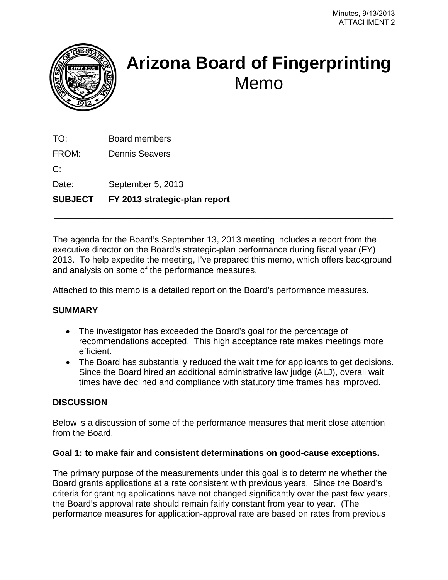<span id="page-7-0"></span>

# **Arizona Board of Fingerprinting** Memo

TO: Board members

FROM: Dennis Seavers

 $C^{\cdot}$ 

Date: September 5, 2013

## **SUBJECT FY 2013 strategic-plan report**

The agenda for the Board's September 13, 2013 meeting includes a report from the executive director on the Board's strategic-plan performance during fiscal year (FY) 2013. To help expedite the meeting, I've prepared this memo, which offers background and analysis on some of the performance measures.

\_\_\_\_\_\_\_\_\_\_\_\_\_\_\_\_\_\_\_\_\_\_\_\_\_\_\_\_\_\_\_\_\_\_\_\_\_\_\_\_\_\_\_\_\_\_\_\_\_\_\_\_\_\_\_\_\_\_\_\_\_\_\_\_\_\_\_\_\_

Attached to this memo is a detailed report on the Board's performance measures.

## **SUMMARY**

- The investigator has exceeded the Board's goal for the percentage of recommendations accepted. This high acceptance rate makes meetings more efficient.
- The Board has substantially reduced the wait time for applicants to get decisions. Since the Board hired an additional administrative law judge (ALJ), overall wait times have declined and compliance with statutory time frames has improved.

## **DISCUSSION**

Below is a discussion of some of the performance measures that merit close attention from the Board.

## **Goal 1: to make fair and consistent determinations on good-cause exceptions.**

The primary purpose of the measurements under this goal is to determine whether the Board grants applications at a rate consistent with previous years. Since the Board's criteria for granting applications have not changed significantly over the past few years, the Board's approval rate should remain fairly constant from year to year. (The performance measures for application-approval rate are based on rates from previous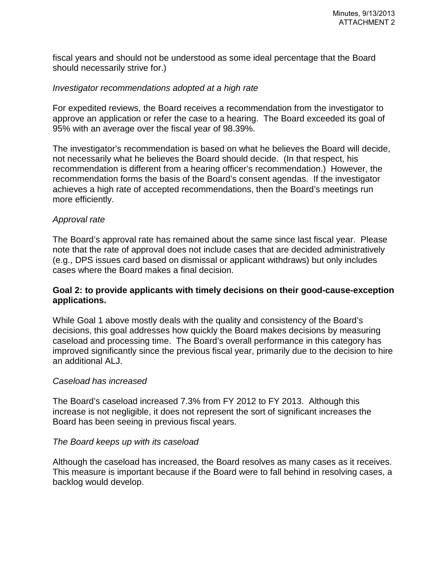fiscal years and should not be understood as some ideal percentage that the Board should necessarily strive for.)

#### *Investigator recommendations adopted at a high rate*

For expedited reviews, the Board receives a recommendation from the investigator to approve an application or refer the case to a hearing. The Board exceeded its goal of 95% with an average over the fiscal year of 98.39%.

The investigator's recommendation is based on what he believes the Board will decide, not necessarily what he believes the Board should decide. (In that respect, his recommendation is different from a hearing officer's recommendation.) However, the recommendation forms the basis of the Board's consent agendas. If the investigator achieves a high rate of accepted recommendations, then the Board's meetings run more efficiently.

#### *Approval rate*

The Board's approval rate has remained about the same since last fiscal year. Please note that the rate of approval does not include cases that are decided administratively (e.g., DPS issues card based on dismissal or applicant withdraws) but only includes cases where the Board makes a final decision.

#### **Goal 2: to provide applicants with timely decisions on their good-cause-exception applications.**

While Goal 1 above mostly deals with the quality and consistency of the Board's decisions, this goal addresses how quickly the Board makes decisions by measuring caseload and processing time. The Board's overall performance in this category has improved significantly since the previous fiscal year, primarily due to the decision to hire an additional ALJ.

#### *Caseload has increased*

The Board's caseload increased 7.3% from FY 2012 to FY 2013. Although this increase is not negligible, it does not represent the sort of significant increases the Board has been seeing in previous fiscal years.

#### *The Board keeps up with its caseload*

Although the caseload has increased, the Board resolves as many cases as it receives. This measure is important because if the Board were to fall behind in resolving cases, a backlog would develop.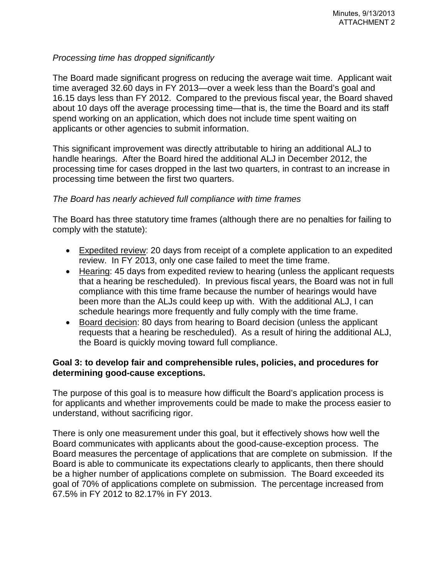#### *Processing time has dropped significantly*

The Board made significant progress on reducing the average wait time. Applicant wait time averaged 32.60 days in FY 2013—over a week less than the Board's goal and 16.15 days less than FY 2012. Compared to the previous fiscal year, the Board shaved about 10 days off the average processing time—that is, the time the Board and its staff spend working on an application, which does not include time spent waiting on applicants or other agencies to submit information.

This significant improvement was directly attributable to hiring an additional ALJ to handle hearings. After the Board hired the additional ALJ in December 2012, the processing time for cases dropped in the last two quarters, in contrast to an increase in processing time between the first two quarters.

#### *The Board has nearly achieved full compliance with time frames*

The Board has three statutory time frames (although there are no penalties for failing to comply with the statute):

- Expedited review: 20 days from receipt of a complete application to an expedited review. In FY 2013, only one case failed to meet the time frame.
- Hearing: 45 days from expedited review to hearing (unless the applicant requests that a hearing be rescheduled). In previous fiscal years, the Board was not in full compliance with this time frame because the number of hearings would have been more than the ALJs could keep up with. With the additional ALJ, I can schedule hearings more frequently and fully comply with the time frame.
- Board decision: 80 days from hearing to Board decision (unless the applicant requests that a hearing be rescheduled). As a result of hiring the additional ALJ, the Board is quickly moving toward full compliance.

#### **Goal 3: to develop fair and comprehensible rules, policies, and procedures for determining good-cause exceptions.**

The purpose of this goal is to measure how difficult the Board's application process is for applicants and whether improvements could be made to make the process easier to understand, without sacrificing rigor.

There is only one measurement under this goal, but it effectively shows how well the Board communicates with applicants about the good-cause-exception process. The Board measures the percentage of applications that are complete on submission. If the Board is able to communicate its expectations clearly to applicants, then there should be a higher number of applications complete on submission. The Board exceeded its goal of 70% of applications complete on submission. The percentage increased from 67.5% in FY 2012 to 82.17% in FY 2013.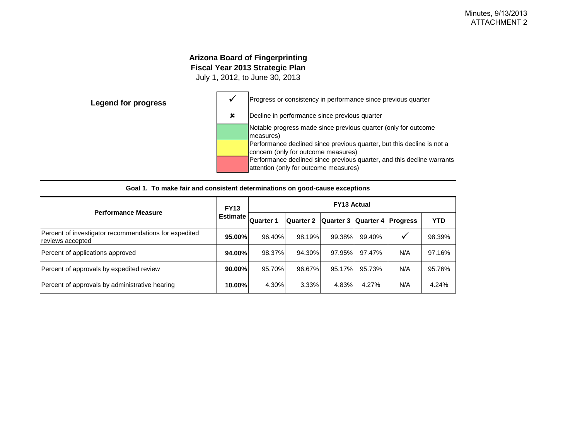#### **Arizona Board of Fingerprinting Fiscal Year 2013 Strategic Plan**

July 1, 2012, to June 30, 2013



| <b>Performance Measure</b>                                                | <b>FY13</b> | <b>FY13 Actual</b> |                                        |        |        |              |            |  |  |
|---------------------------------------------------------------------------|-------------|--------------------|----------------------------------------|--------|--------|--------------|------------|--|--|
|                                                                           | Estimate I. | <b>Quarter 1</b>   | Quarter 2 Quarter 3 Quarter 4 Progress |        |        |              | <b>YTD</b> |  |  |
| Percent of investigator recommendations for expedited<br>reviews accepted | 95.00%      | 96.40%             | 98.19%                                 | 99.38% | 99.40% | $\checkmark$ | 98.39%     |  |  |
| Percent of applications approved                                          | 94.00%      | 98.37%             | 94.30%                                 | 97.95% | 97.47% | N/A          | 97.16%     |  |  |
| Percent of approvals by expedited review                                  | $90.00\%$   | 95.70%             | 96.67%                                 | 95.17% | 95.73% | N/A          | 95.76%     |  |  |
| Percent of approvals by administrative hearing                            | 10.00%      | 4.30%              | 3.33%                                  | 4.83%  | 4.27%  | N/A          | 4.24%      |  |  |

|  |  |  | Goal 1. To make fair and consistent determinations on good-cause exceptions |  |  |
|--|--|--|-----------------------------------------------------------------------------|--|--|
|--|--|--|-----------------------------------------------------------------------------|--|--|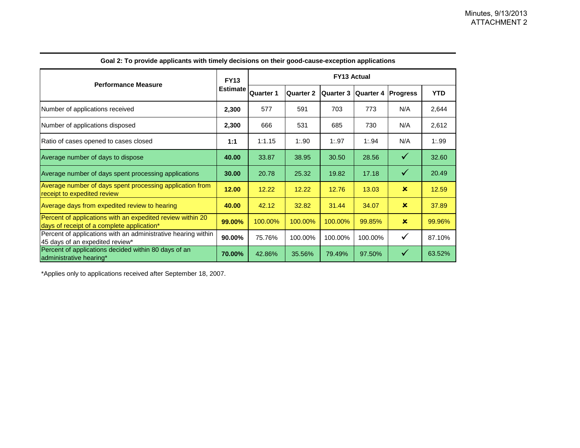| <b>Performance Measure</b>                                                                               |                 | <b>FY13 Actual</b> |                  |                  |           |                 |            |  |  |
|----------------------------------------------------------------------------------------------------------|-----------------|--------------------|------------------|------------------|-----------|-----------------|------------|--|--|
|                                                                                                          | <b>Estimate</b> | <b>Quarter 1</b>   | <b>Quarter 2</b> | <b>Quarter 3</b> | Quarter 4 | <b>Progress</b> | <b>YTD</b> |  |  |
| Number of applications received                                                                          | 2,300           | 577                | 591              | 703              | 773       | N/A             | 2,644      |  |  |
| Number of applications disposed                                                                          | 2,300           | 666                | 531              | 685              | 730       | N/A             | 2,612      |  |  |
| Ratio of cases opened to cases closed                                                                    | 1:1             | 1:1.15             | 1:90             | 1:97             | 1:94      | N/A             | 1:99       |  |  |
| Average number of days to dispose                                                                        | 40.00           | 33.87              | 38.95            | 30.50            | 28.56     | $\checkmark$    | 32.60      |  |  |
| Average number of days spent processing applications                                                     | 30.00           | 20.78              | 25.32            | 19.82            | 17.18     | $\checkmark$    | 20.49      |  |  |
| Average number of days spent processing application from<br>receipt to expedited review                  | 12.00           | 12.22              | 12.22            | 12.76            | 13.03     | $\mathbf x$     | 12.59      |  |  |
| Average days from expedited review to hearing                                                            | 40.00           | 42.12              | 32.82            | 31.44            | 34.07     | $\mathbf x$     | 37.89      |  |  |
| Percent of applications with an expedited review within 20<br>days of receipt of a complete application* | 99.00%          | 100.00%            | 100.00%          | 100.00%          | 99.85%    | $\mathbf x$     | 99.96%     |  |  |
| Percent of applications with an administrative hearing within<br>45 days of an expedited review*         | 90.00%          | 75.76%             | 100.00%          | 100.00%          | 100.00%   | $\checkmark$    | 87.10%     |  |  |
| Percent of applications decided within 80 days of an<br>administrative hearing*                          | 70.00%          | 42.86%             | 35.56%           | 79.49%           | 97.50%    | $\checkmark$    | 63.52%     |  |  |

**Goal 2: To provide applicants with timely decisions on their good-cause-exception applications**

\*Applies only to applications received after September 18, 2007.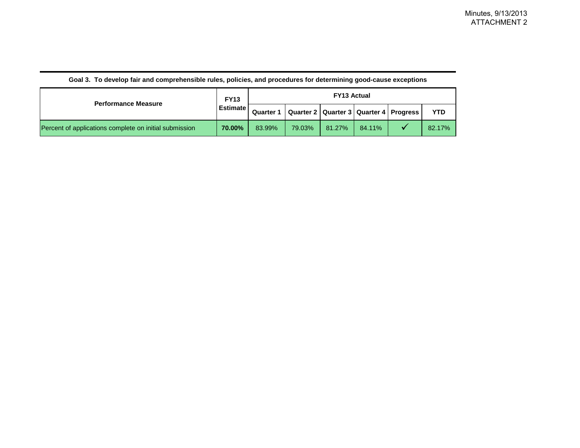| <b>Performance Measure</b>                             | <b>FY13</b>     | <b>FY13 Actual</b> |        |                                              |        |  |            |  |
|--------------------------------------------------------|-----------------|--------------------|--------|----------------------------------------------|--------|--|------------|--|
|                                                        | <b>Estimate</b> | <b>Quarter 1</b>   |        | Quarter 2   Quarter 3   Quarter 4   Progress |        |  | <b>YTD</b> |  |
| Percent of applications complete on initial submission | 70.00%          | 83.99%             | 79.03% | 81.27%                                       | 84.11% |  | 82.17%     |  |

#### **Goal 3. To develop fair and comprehensible rules, policies, and procedures for determining good-cause exceptions**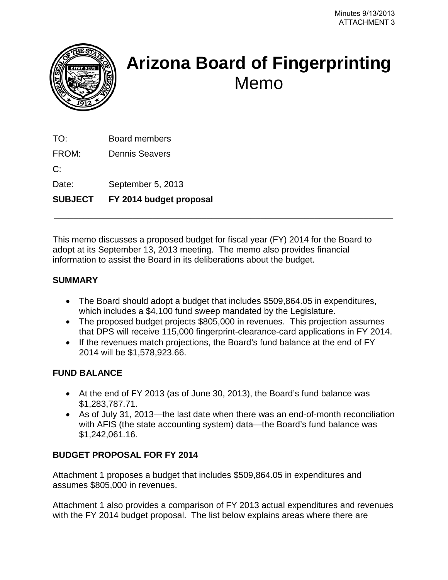<span id="page-13-0"></span>

# **Arizona Board of Fingerprinting** Memo

TO: Board members

FROM: Dennis Seavers

 $C^{\cdot}$ 

Date: September 5, 2013

**SUBJECT FY 2014 budget proposal**

This memo discusses a proposed budget for fiscal year (FY) 2014 for the Board to adopt at its September 13, 2013 meeting. The memo also provides financial information to assist the Board in its deliberations about the budget.

\_\_\_\_\_\_\_\_\_\_\_\_\_\_\_\_\_\_\_\_\_\_\_\_\_\_\_\_\_\_\_\_\_\_\_\_\_\_\_\_\_\_\_\_\_\_\_\_\_\_\_\_\_\_\_\_\_\_\_\_\_\_\_\_\_\_\_\_\_

## **SUMMARY**

- The Board should adopt a budget that includes \$509,864.05 in expenditures, which includes a \$4,100 fund sweep mandated by the Legislature.
- The proposed budget projects \$805,000 in revenues. This projection assumes that DPS will receive 115,000 fingerprint-clearance-card applications in FY 2014.
- If the revenues match projections, the Board's fund balance at the end of FY 2014 will be \$1,578,923.66.

## **FUND BALANCE**

- At the end of FY 2013 (as of June 30, 2013), the Board's fund balance was \$1,283,787.71.
- As of July 31, 2013—the last date when there was an end-of-month reconciliation with AFIS (the state accounting system) data—the Board's fund balance was \$1,242,061.16.

## **BUDGET PROPOSAL FOR FY 2014**

Attachment 1 proposes a budget that includes \$509,864.05 in expenditures and assumes \$805,000 in revenues.

Attachment 1 also provides a comparison of FY 2013 actual expenditures and revenues with the FY 2014 budget proposal. The list below explains areas where there are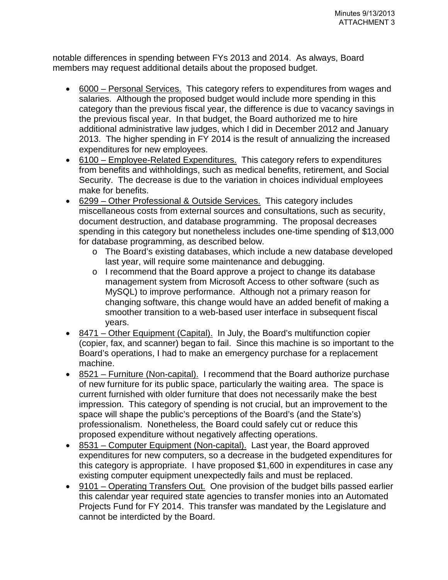notable differences in spending between FYs 2013 and 2014. As always, Board members may request additional details about the proposed budget.

- 6000 Personal Services. This category refers to expenditures from wages and salaries. Although the proposed budget would include more spending in this category than the previous fiscal year, the difference is due to vacancy savings in the previous fiscal year. In that budget, the Board authorized me to hire additional administrative law judges, which I did in December 2012 and January 2013. The higher spending in FY 2014 is the result of annualizing the increased expenditures for new employees.
- 6100 Employee-Related Expenditures. This category refers to expenditures from benefits and withholdings, such as medical benefits, retirement, and Social Security. The decrease is due to the variation in choices individual employees make for benefits.
- 6299 Other Professional & Outside Services. This category includes miscellaneous costs from external sources and consultations, such as security, document destruction, and database programming. The proposal decreases spending in this category but nonetheless includes one-time spending of \$13,000 for database programming, as described below.
	- o The Board's existing databases, which include a new database developed last year, will require some maintenance and debugging.
	- o I recommend that the Board approve a project to change its database management system from Microsoft Access to other software (such as MySQL) to improve performance. Although not a primary reason for changing software, this change would have an added benefit of making a smoother transition to a web-based user interface in subsequent fiscal years.
- 8471 Other Equipment (Capital). In July, the Board's multifunction copier (copier, fax, and scanner) began to fail. Since this machine is so important to the Board's operations, I had to make an emergency purchase for a replacement machine.
- 8521 Furniture (Non-capital). I recommend that the Board authorize purchase of new furniture for its public space, particularly the waiting area. The space is current furnished with older furniture that does not necessarily make the best impression. This category of spending is not crucial, but an improvement to the space will shape the public's perceptions of the Board's (and the State's) professionalism. Nonetheless, the Board could safely cut or reduce this proposed expenditure without negatively affecting operations.
- 8531 Computer Equipment (Non-capital). Last year, the Board approved expenditures for new computers, so a decrease in the budgeted expenditures for this category is appropriate. I have proposed \$1,600 in expenditures in case any existing computer equipment unexpectedly fails and must be replaced.
- 9101 Operating Transfers Out. One provision of the budget bills passed earlier this calendar year required state agencies to transfer monies into an Automated Projects Fund for FY 2014. This transfer was mandated by the Legislature and cannot be interdicted by the Board.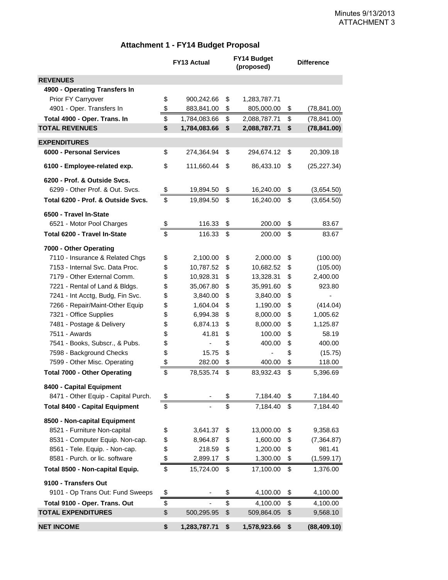#### **Attachment 1 - FY14 Budget Proposal**

|                                       | <b>FY13 Actual</b> | FY14 Budget<br>(proposed)      | <b>Difference</b> |              |  |
|---------------------------------------|--------------------|--------------------------------|-------------------|--------------|--|
| <b>REVENUES</b>                       |                    |                                |                   |              |  |
| 4900 - Operating Transfers In         |                    |                                |                   |              |  |
| Prior FY Carryover                    | \$<br>900,242.66   | \$<br>1,283,787.71             |                   |              |  |
| 4901 - Oper. Transfers In             | \$<br>883,841.00   | \$<br>805,000.00               | \$                | (78, 841.00) |  |
| Total 4900 - Oper. Trans. In          | \$<br>1,784,083.66 | \$<br>2,088,787.71             | \$                | (78, 841.00) |  |
| <b>TOTAL REVENUES</b>                 | \$<br>1,784,083.66 | \$<br>2,088,787.71             | \$                | (78, 841.00) |  |
| <b>EXPENDITURES</b>                   |                    |                                |                   |              |  |
| 6000 - Personal Services              | \$<br>274,364.94   | \$<br>294,674.12               | \$                | 20,309.18    |  |
| 6100 - Employee-related exp.          | \$<br>111,660.44   | \$<br>86,433.10                | \$                | (25, 227.34) |  |
| 6200 - Prof. & Outside Svcs.          |                    |                                |                   |              |  |
| 6299 - Other Prof. & Out. Svcs.       | \$<br>19,894.50    | \$<br>16,240.00                | \$                | (3,654.50)   |  |
| Total 6200 - Prof. & Outside Svcs.    | \$<br>19,894.50    | \$<br>16,240.00                | \$                | (3,654.50)   |  |
| 6500 - Travel In-State                |                    |                                |                   |              |  |
| 6521 - Motor Pool Charges             | \$<br>116.33       | \$<br>200.00                   | \$                | 83.67        |  |
| Total 6200 - Travel In-State          | \$<br>116.33       | \$<br>200.00                   | \$                | 83.67        |  |
| 7000 - Other Operating                |                    |                                |                   |              |  |
| 7110 - Insurance & Related Chgs       | \$<br>2,100.00     | \$<br>2,000.00                 | \$                | (100.00)     |  |
| 7153 - Internal Svc. Data Proc.       | \$<br>10,787.52    | \$<br>10,682.52                | \$                | (105.00)     |  |
| 7179 - Other External Comm.           | \$<br>10,928.31    | \$<br>13,328.31                | \$                | 2,400.00     |  |
| 7221 - Rental of Land & Bldgs.        | \$<br>35,067.80    | \$<br>35,991.60                | \$                | 923.80       |  |
| 7241 - Int Acctg, Budg, Fin Svc.      | \$<br>3,840.00     | \$<br>3,840.00                 | \$                |              |  |
| 7266 - Repair/Maint-Other Equip       | \$<br>1,604.04     | \$<br>1,190.00                 | \$                | (414.04)     |  |
| 7321 - Office Supplies                | \$<br>6,994.38     | \$<br>8,000.00                 | \$                | 1,005.62     |  |
| 7481 - Postage & Delivery             | \$<br>6,874.13     | \$<br>8,000.00                 | \$                | 1,125.87     |  |
| 7511 - Awards                         | \$<br>41.81        | \$<br>100.00                   | \$                | 58.19        |  |
| 7541 - Books, Subscr., & Pubs.        | \$                 | \$<br>400.00                   | \$                | 400.00       |  |
| 7598 - Background Checks              | \$<br>15.75        | \$<br>$\overline{\phantom{0}}$ | \$                | (15.75)      |  |
| 7599 - Other Misc. Operating          | \$<br>282.00       | \$<br>400.00                   | \$                | 118.00       |  |
| <b>Total 7000 - Other Operating</b>   | \$<br>78,535.74    | \$<br>83,932.43                | \$                | 5,396.69     |  |
| 8400 - Capital Equipment              |                    |                                |                   |              |  |
| 8471 - Other Equip - Capital Purch.   | \$                 | \$<br>7,184.40                 | \$                | 7,184.40     |  |
| <b>Total 8400 - Capital Equipment</b> | \$                 | \$<br>7,184.40                 | \$                | 7,184.40     |  |
| 8500 - Non-capital Equipment          |                    |                                |                   |              |  |
| 8521 - Furniture Non-capital          | \$<br>3,641.37     | \$<br>13,000.00                | \$                | 9,358.63     |  |
| 8531 - Computer Equip. Non-cap.       | \$<br>8,964.87     | \$<br>1,600.00                 | \$                | (7, 364.87)  |  |
| 8561 - Tele. Equip. - Non-cap.        | \$<br>218.59       | \$<br>1,200.00                 | \$                | 981.41       |  |
| 8581 - Purch. or lic. software        | \$<br>2,899.17     | \$<br>1,300.00                 | \$                | (1,599.17)   |  |
| Total 8500 - Non-capital Equip.       | \$<br>15,724.00    | \$<br>17,100.00                | \$                | 1,376.00     |  |
| 9100 - Transfers Out                  |                    |                                |                   |              |  |
| 9101 - Op Trans Out: Fund Sweeps      | \$                 | \$<br>4,100.00                 | \$                | 4,100.00     |  |
| Total 9100 - Oper. Trans. Out         | \$                 | \$<br>4,100.00                 | \$                | 4,100.00     |  |
| <b>TOTAL EXPENDITURES</b>             | \$<br>500,295.95   | \$<br>509,864.05               | \$                | 9,568.10     |  |
| <b>NET INCOME</b>                     | \$<br>1,283,787.71 | \$<br>1,578,923.66             | \$                | (88, 409.10) |  |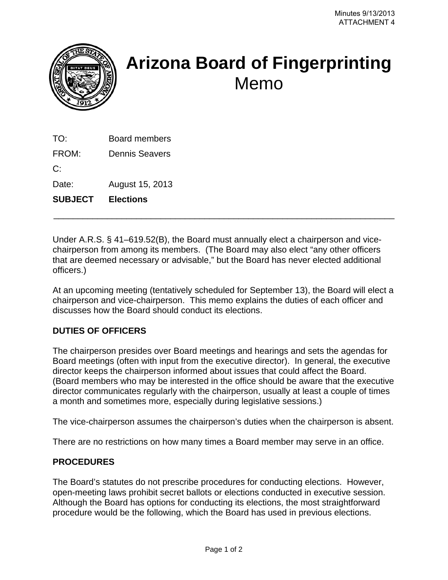<span id="page-16-0"></span>

# **Arizona Board of Fingerprinting**  Memo

TO: Board members

FROM: Dennis Seavers

 $C:$ 

Date: August 15, 2013

**SUBJECT Elections** 

Under A.R.S. § 41–619.52(B), the Board must annually elect a chairperson and vicechairperson from among its members. (The Board may also elect "any other officers that are deemed necessary or advisable," but the Board has never elected additional officers.)

\_\_\_\_\_\_\_\_\_\_\_\_\_\_\_\_\_\_\_\_\_\_\_\_\_\_\_\_\_\_\_\_\_\_\_\_\_\_\_\_\_\_\_\_\_\_\_\_\_\_\_\_\_\_\_\_\_\_\_\_\_\_\_\_\_\_\_\_\_\_

At an upcoming meeting (tentatively scheduled for September 13), the Board will elect a chairperson and vice-chairperson. This memo explains the duties of each officer and discusses how the Board should conduct its elections.

## **DUTIES OF OFFICERS**

The chairperson presides over Board meetings and hearings and sets the agendas for Board meetings (often with input from the executive director). In general, the executive director keeps the chairperson informed about issues that could affect the Board. (Board members who may be interested in the office should be aware that the executive director communicates regularly with the chairperson, usually at least a couple of times a month and sometimes more, especially during legislative sessions.)

The vice-chairperson assumes the chairperson's duties when the chairperson is absent.

There are no restrictions on how many times a Board member may serve in an office.

## **PROCEDURES**

The Board's statutes do not prescribe procedures for conducting elections. However, open-meeting laws prohibit secret ballots or elections conducted in executive session. Although the Board has options for conducting its elections, the most straightforward procedure would be the following, which the Board has used in previous elections.